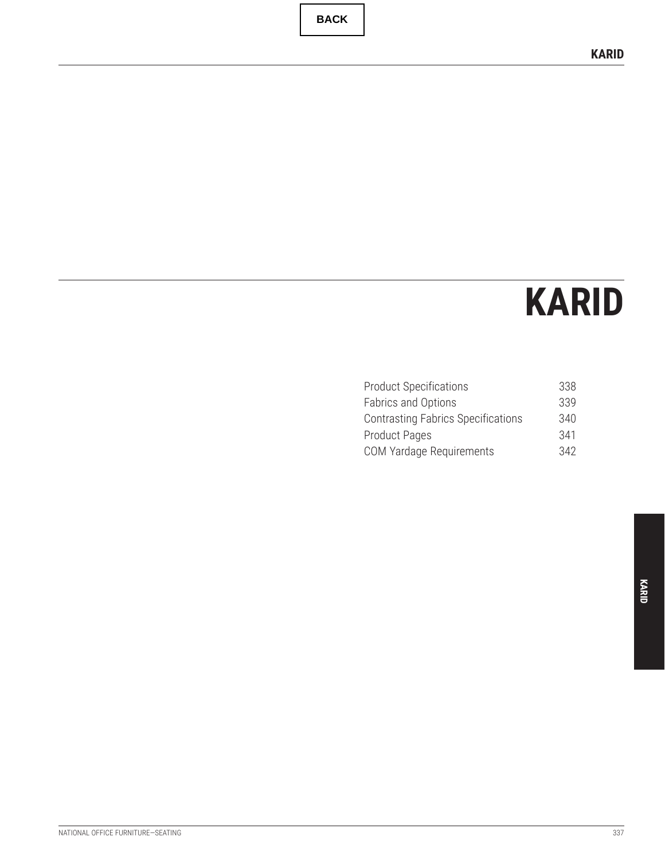**BACK**

# **KARID**

| 338 |
|-----|
| 339 |
| 340 |
| 341 |
| 342 |
|     |

**KARID**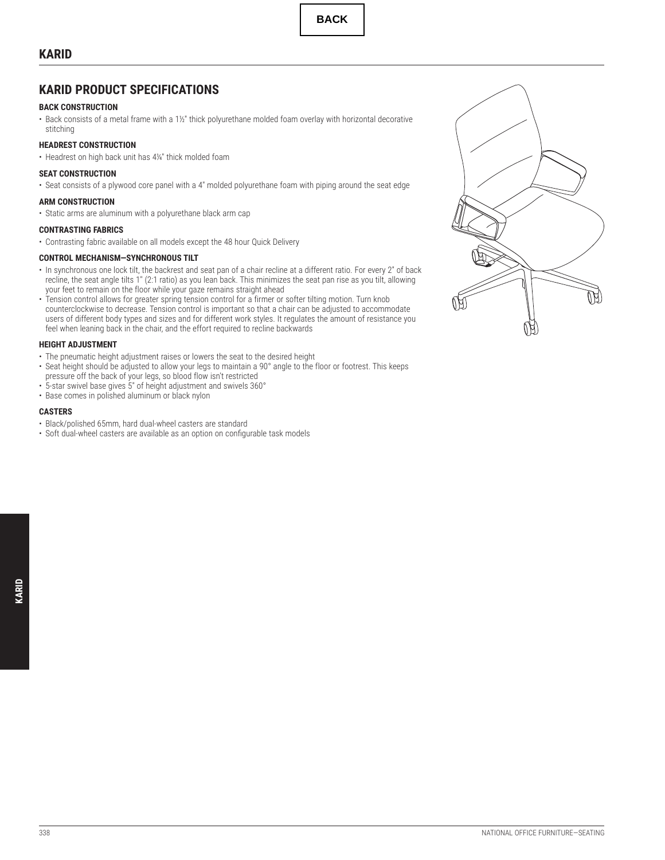## <span id="page-1-0"></span>**KARID PRODUCT SPECIFICATIONS**

## **BACK CONSTRUCTION**

• Back consists of a metal frame with a 1½" thick polyurethane molded foam overlay with horizontal decorative stitching

## **HEADREST CONSTRUCTION**

• Headrest on high back unit has 4<sup>1</sup> ⁄4" thick molded foam

#### **SEAT CONSTRUCTION**

• Seat consists of a plywood core panel with a 4" molded polyurethane foam with piping around the seat edge

#### **ARM CONSTRUCTION**

• Static arms are aluminum with a polyurethane black arm cap

#### **CONTRASTING FABRICS**

• Contrasting fabric available on all models except the 48 hour Quick Delivery

#### **CONTROL MECHANISM—SYNCHRONOUS TILT**

- In synchronous one lock tilt, the backrest and seat pan of a chair recline at a different ratio. For every 2" of back recline, the seat angle tilts 1" (2:1 ratio) as you lean back. This minimizes the seat pan rise as you tilt, allowing your feet to remain on the floor while your gaze remains straight ahead
- Tension control allows for greater spring tension control for a firmer or softer tilting motion. Turn knob counterclockwise to decrease. Tension control is important so that a chair can be adjusted to accommodate users of different body types and sizes and for different work styles. It regulates the amount of resistance you feel when leaning back in the chair, and the effort required to recline backwards

#### **HEIGHT ADJUSTMENT**

- The pneumatic height adjustment raises or lowers the seat to the desired height
- Seat height should be adjusted to allow your legs to maintain a 90° angle to the floor or footrest. This keeps
- pressure off the back of your legs, so blood flow isn't restricted
- 5-star swivel base gives 5" of height adjustment and swivels 360°
- Base comes in polished aluminum or black nylon

#### **CASTERS**

- Black/polished 65mm, hard dual-wheel casters are standard
- Soft dual-wheel casters are available as an option on configurable task models

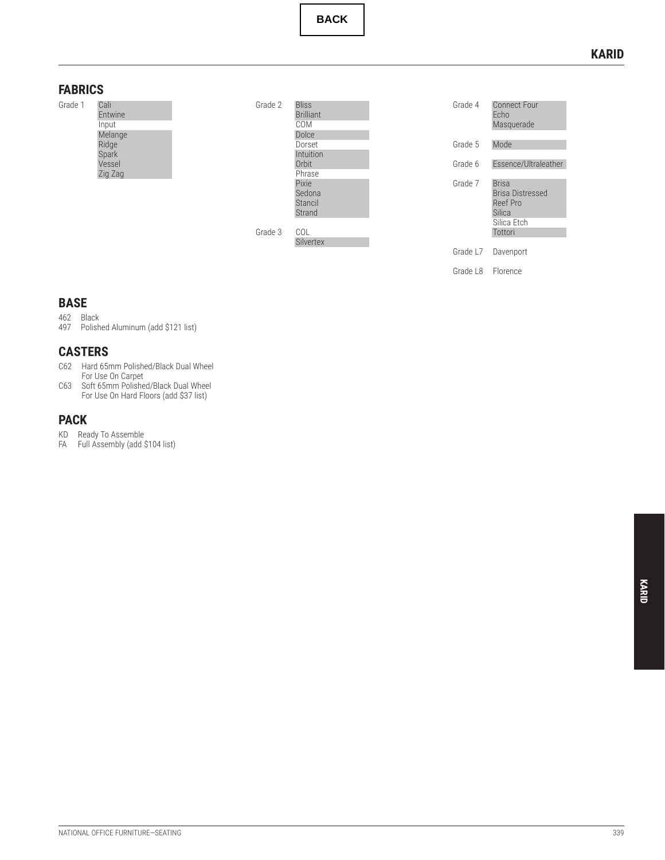**BACK**

## **KARID**

## <span id="page-2-0"></span>**FABRICS**





Grade 4 Connect Four Echo Masquerade Grade 5 Mode Grade 6 Essence/Ultraleather Grade 7 Brisa Brisa Distressed Reef Pro Silica Silica Etch Tottori Grade L7 Davenport Grade L8 Florence

## **BASE**

## 462 Black

497 Polished Aluminum (add \$121 list)

## **CASTERS**

- C62 Hard 65mm Polished/Black Dual Wheel For Use On Carpet
- C63 Soft 65mm Polished/Black Dual Wheel For Use On Hard Floors (add \$37 list)

## **PACK**

- KD Ready To Assemble
- FA Full Assembly (add \$104 list)

**KARID**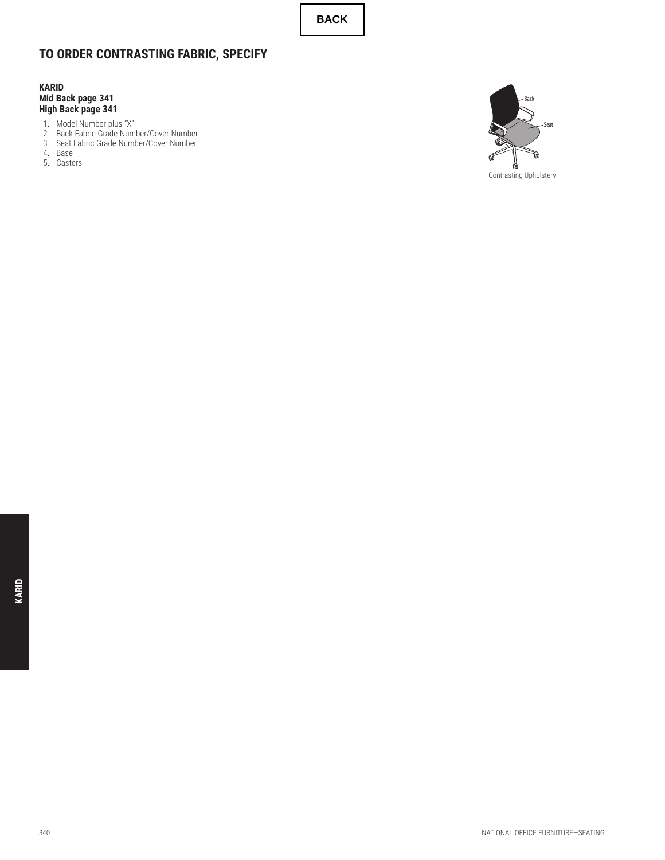**BACK**

## <span id="page-3-0"></span>**TO ORDER CONTRASTING FABRIC, SPECIFY**

**KARID Mid Back page [341](#page-4-0) High Back page [341](#page-4-0)**

- 1. Model Number plus "X"
- 2. Back Fabric Grade Number/Cover Number
- 3. Seat Fabric Grade Number/Cover Number
- 4. Base
- 5. Casters

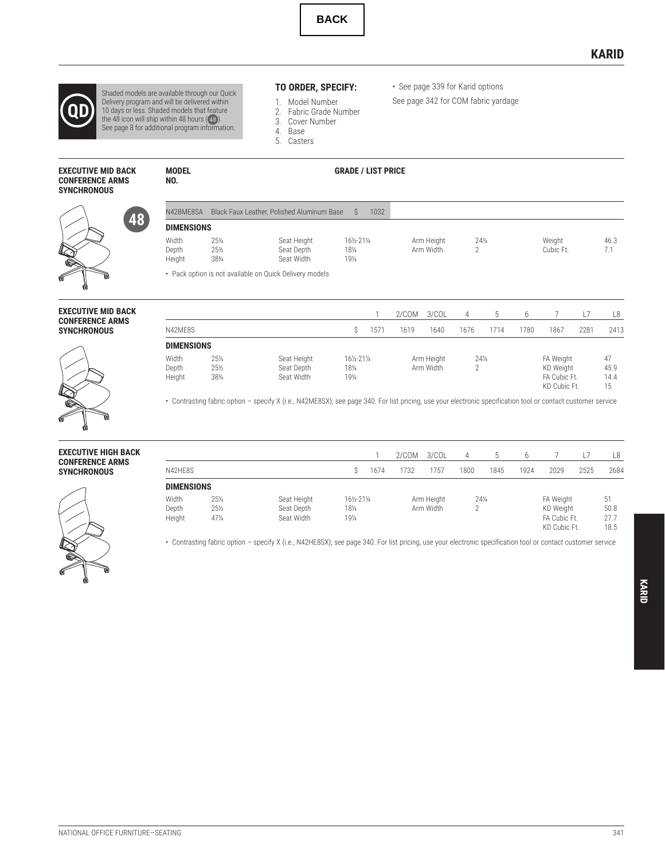

## **KARID**

<span id="page-4-0"></span>

Shaded models are available through our Quick<br>Delivery program and will be delivered within<br>10 days or less. Shaded models that feature<br>the 48 icon will ship within 48 hours (49).<br>See page 8 for additional program informat

**NO.**

## **EXECUTIVE MID BACK CONFERENCE ARMS**

## **TO ORDER, SPECIFY:**

- 1. Model Number
- 2. Fabric Grade Number
- 3. Cover Number 4. Base
- 5. Casters

#### **MODEL GRADE / LIST PRICE**

**SYNCHRONOUS** 48

#### N42BME8SA Black Faux Leather, Polished Aluminum Base \$ 1032 **DIMENSIONS** Width ⁄4 Depth ⁄2 Height ⁄4 Seat Height ⁄2-21<sup>1</sup> ⁄4 Seat Depth ⁄4 Seat Width ⁄4 Arm Height 24!<br>Arm Width 2 ⁄4 Arm Width 2 Weight 46.3<br>Cubic Ft. 7.1 Cubic Ft.

• See page [339](#page-2-0) for Karid options See page [342](#page-5-0) for COM fabric yardage

• Pack option is not available on Quick Delivery models



| <b>SYNCHRONOUS</b> |  |
|--------------------|--|
|                    |  |

1 2/COM 3/COL 4 5 6 7 L7 L8 N42ME8S \$ 1571 1619 1640 1676 1714 1780 1867 2281 2413 **DIMENSIONS** Width ⁄4 Depth ⁄2 Height ⁄4 Seat Height ⁄2-21<sup>1</sup> ⁄4 Seat Depth ⁄4 Seat Width ⁄4 Arm Height 24<br>Arm Width 2 ⁄4 Arm Width 2 FA Weight 47<br>KD Weight 45.9 KD Weight 45.9<br>FA Cubic Ft. 14.4 FA Cubic Ft. 14.<br>KD Cubic Ft. 15 KD Cubic Ft.

• Contrasting fabric option – specify X (i.e., N42ME8SX); see page [340.](#page-3-0) For list pricing, use your electronic specification tool or contact customer service



|                   |                 |             |         |      | 2/COM     | 3/COL      | 4      |      | h    |                              |      | L8           |
|-------------------|-----------------|-------------|---------|------|-----------|------------|--------|------|------|------------------------------|------|--------------|
| N42HE8S           |                 |             | S       | 1674 | 1732      | 1757       | 1800   | 1845 | 1924 | 2029                         | 2525 | 2684         |
| <b>DIMENSIONS</b> |                 |             |         |      |           |            |        |      |      |                              |      |              |
| Width             | $25\frac{1}{4}$ | Seat Height | 16½-21¼ |      |           | Arm Height | $24\%$ |      |      | FA Weight                    |      | 51           |
| Depth             | $25\frac{1}{2}$ | Seat Depth  | 181/4   |      | Arm Width |            | C      |      |      | KD Weight                    |      | 50.8         |
| Height            | $47\%$          | Seat Width  | 191/4   |      |           |            |        |      |      | FA Cubic Ft.<br>KD Cubic Ft. |      | 27.7<br>18.5 |

• Contrasting fabric option – specify X (i.e., N42HE8SX); see page [340.](#page-3-0) For list pricing, use your electronic specification tool or contact customer service

**KARID**